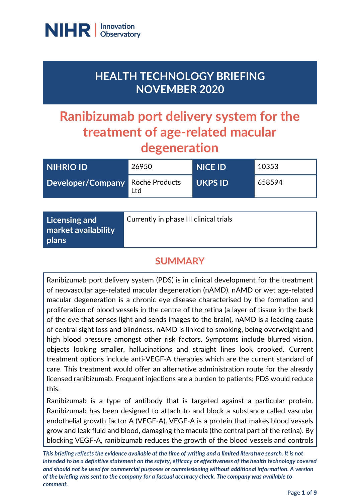

## **HEALTH TECHNOLOGY BRIEFING NOVEMBER 2020**

# **Ranibizumab port delivery system for the treatment of age-related macular degeneration**

| <b>NIHRIO ID</b>                        | 26950 | <b>NICE ID</b> | 10353  |
|-----------------------------------------|-------|----------------|--------|
| <b>Developer/Company Roche Products</b> | Ltd   | <b>UKPS ID</b> | 658594 |

### **SUMMARY**

Ranibizumab port delivery system (PDS) is in clinical development for the treatment of neovascular age-related macular degeneration (nAMD). nAMD or wet age‐related macular degeneration is a chronic eye disease characterised by the formation and proliferation of blood vessels in the centre of the retina (a layer of tissue in the back of the eye that senses light and sends images to the brain). nAMD is a leading cause of central sight loss and blindness. nAMD is linked to smoking, being overweight and high blood pressure amongst other risk factors. Symptoms include blurred vision, objects looking smaller, hallucinations and straight lines look crooked. Current treatment options include anti‐VEGF‐A therapies which are the current standard of care. This treatment would offer an alternative administration route for the already licensed ranibizumab. Frequent injections are a burden to patients; PDS would reduce this.

Ranibizumab is a type of antibody that is targeted against a particular protein. Ranibizumab has been designed to attach to and block a substance called vascular endothelial growth factor A (VEGF-A). VEGF-A is a protein that makes blood vessels grow and leak fluid and blood, damaging the macula (the central part of the retina). By blocking VEGF-A, ranibizumab reduces the growth of the blood vessels and controls

*This briefing reflects the evidence available at the time of writing and a limited literature search. It is not intended to be a definitive statement on the safety, efficacy or effectiveness of the health technology covered and should not be used for commercial purposes or commissioning without additional information. A version of the briefing was sent to the company for a factual accuracy check. The company was available to comment.*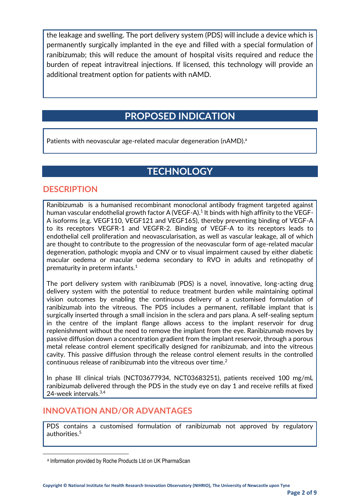the leakage and swelling. The port delivery system (PDS) will include a device which is permanently surgically implanted in the eye and filled with a special formulation of ranibizumab; this will reduce the amount of hospital visits required and reduce the burden of repeat intravitreal injections. If licensed, this technology will provide an additional treatment option for patients with nAMD.

### **PROPOSED INDICATION**

Patients with neovascular age-related macular degeneration (nAMD).<sup>a</sup>

### **TECHNOLOGY**

#### **DESCRIPTION**

Ranibizumab is a humanised recombinant monoclonal antibody fragment targeted against human vascular endothelial growth factor A (VEGF-A). $^1$  It binds with high affinity to the VEGF-A isoforms (e.g. VEGF110, VEGF121 and VEGF165), thereby preventing binding of VEGF-A to its receptors VEGFR-1 and VEGFR-2. Binding of VEGF-A to its receptors leads to endothelial cell proliferation and neovascularisation, as well as vascular leakage, all of which are thought to contribute to the progression of the neovascular form of age-related macular degeneration, pathologic myopia and CNV or to visual impairment caused by either diabetic macular oedema or macular oedema secondary to RVO in adults and retinopathy of prematurity in preterm infants. $1$ 

The port delivery system with ranibizumab (PDS) is a novel, innovative, long-acting drug delivery system with the potential to reduce treatment burden while maintaining optimal vision outcomes by enabling the continuous delivery of a customised formulation of ranibizumab into the vitreous. The PDS includes a permanent, refillable implant that is surgically inserted through a small incision in the sclera and pars plana. A self-sealing septum in the centre of the implant flange allows access to the implant reservoir for drug replenishment without the need to remove the implant from the eye. Ranibizumab moves by passive diffusion down a concentration gradient from the implant reservoir, through a porous metal release control element specifically designed for ranibizumab, and into the vitreous cavity. This passive diffusion through the release control element results in the controlled continuous release of ranibizumab into the vitreous over time.<sup>2</sup>

In phase III clinical trials (NCT03677934, NCT03683251), patients received 100 mg/mL ranibizumab delivered through the PDS in the study eye on day 1 and receive refills at fixed 24-week intervals.<sup>3,4</sup>

#### **INNOVATION AND/OR ADVANTAGES**

PDS contains a customised formulation of ranibizumab not approved by regulatory authorities.<sup>5</sup>

a Information provided by Roche Products Ltd on UK PharmaScan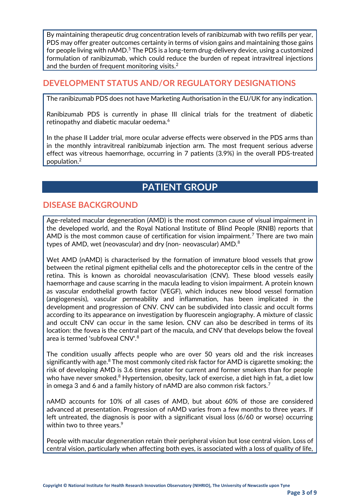By maintaining therapeutic drug concentration levels of ranibizumab with two refills per year, PDS may offer greater outcomes certainty in terms of vision gains and maintaining those gains for people living with  $nAMD<sup>5</sup>$ . The PDS is a long-term drug-delivery device, using a customized formulation of ranibizumab, which could reduce the burden of repeat intravitreal injections and the burden of frequent monitoring visits.<sup>2</sup>

#### **DEVELOPMENT STATUS AND/OR REGULATORY DESIGNATIONS**

The ranibizumab PDS does not have Marketing Authorisation in the EU/UK for any indication.

Ranibizumab PDS is currently in phase III clinical trials for the treatment of diabetic retinopathy and diabetic macular oedema.<sup>6</sup>

In the phase II Ladder trial, more ocular adverse effects were observed in the PDS arms than in the monthly intravitreal ranibizumab injection arm. The most frequent serious adverse effect was vitreous haemorrhage, occurring in 7 patients (3.9%) in the overall PDS-treated population.<sup>2</sup>

### **PATIENT GROUP**

#### **DISEASE BACKGROUND**

Age-related macular degeneration (AMD) is the most common cause of visual impairment in the developed world, and the Royal National Institute of Blind People (RNIB) reports that AMD is the most common cause of certification for vision impairment.<sup>7</sup> There are two main types of AMD, wet (neovascular) and dry (non- neovascular) AMD.<sup>8</sup>

Wet AMD (nAMD) is characterised by the formation of immature blood vessels that grow between the retinal pigment epithelial cells and the photoreceptor cells in the centre of the retina. This is known as choroidal neovascularisation (CNV). These blood vessels easily haemorrhage and cause scarring in the macula leading to vision impairment. A protein known as vascular endothelial growth factor (VEGF), which induces new blood vessel formation (angiogenesis), vascular permeability and inflammation, has been implicated in the development and progression of CNV. CNV can be subdivided into classic and occult forms according to its appearance on investigation by fluorescein angiography. A mixture of classic and occult CNV can occur in the same lesion. CNV can also be described in terms of its location: the fovea is the central part of the macula, and CNV that develops below the foveal area is termed 'subfoveal CNV'.<sup>8</sup>

The condition usually affects people who are over 50 years old and the risk increases significantly with age. $8$  The most commonly cited risk factor for AMD is cigarette smoking; the risk of developing AMD is 3.6 times greater for current and former smokers than for people who have never smoked.<sup>8</sup> Hypertension, obesity, lack of exercise, a diet high in fat, a diet low in omega 3 and 6 and a family history of nAMD are also common risk factors.<sup>7</sup>

nAMD accounts for 10% of all cases of AMD, but about 60% of those are considered advanced at presentation. Progression of nAMD varies from a few months to three years. If left untreated, the diagnosis is poor with a significant visual loss (6/60 or worse) occurring within two to three years.<sup>9</sup>

People with macular degeneration retain their peripheral vision but lose central vision. Loss of central vision, particularly when affecting both eyes, is associated with a loss of quality of life,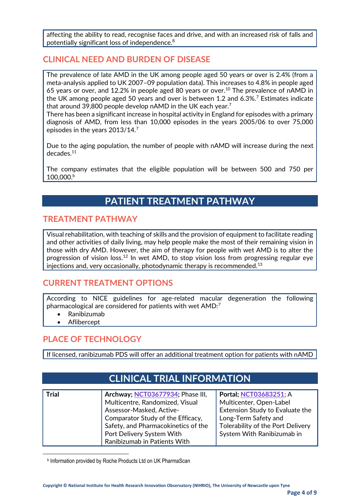affecting the ability to read, recognise faces and drive, and with an increased risk of falls and potentially significant loss of independence.<sup>8</sup>

#### **CLINICAL NEED AND BURDEN OF DISEASE**

The prevalence of late AMD in the UK among people aged 50 years or over is 2.4% (from a meta-analysis applied to UK 2007–09 population data). This increases to 4.8% in people aged 65 years or over, and 12.2% in people aged 80 years or over.<sup>10</sup> The prevalence of nAMD in the UK among people aged 50 years and over is between 1.2 and 6.3%.<sup>7</sup> Estimates indicate that around 39,800 people develop nAMD in the UK each year.<sup>7</sup>

There has been a significant increase in hospital activity in England for episodes with a primary diagnosis of AMD, from less than 10,000 episodes in the years 2005/06 to over 75,000 episodes in the years 2013/14.<sup>7</sup>

Due to the aging population, the number of people with nAMD will increase during the next decades.<sup>11</sup>

The company estimates that the eligible population will be between 500 and 750 per 100,000.<sup>b</sup>

### **PATIENT TREATMENT PATHWAY**

#### **TREATMENT PATHWAY**

Visual rehabilitation, with teaching of skills and the provision of equipment to facilitate reading and other activities of daily living, may help people make the most of their remaining vision in those with dry AMD. However, the aim of therapy for people with wet AMD is to alter the progression of vision loss. <sup>12</sup> In wet AMD, to stop vision loss from progressing regular eye injections and, very occasionally, photodynamic therapy is recommended.<sup>13</sup>

#### **CURRENT TREATMENT OPTIONS**

According to NICE guidelines for age-related macular degeneration the following pharmacological are considered for patients with wet AMD:<sup>7</sup>

- Ranibizumab
- **Aflibercept**

#### **PLACE OF TECHNOLOGY**

If licensed, ranibizumab PDS will offer an additional treatment option for patients with nAMD

### **CLINICAL TRIAL INFORMATION**

| <b>Trial</b> | Archway; NCT03677934; Phase III,    | Portal; NCT03683251; A            |
|--------------|-------------------------------------|-----------------------------------|
|              | Multicentre, Randomized, Visual     | Multicenter, Open-Label           |
|              | Assessor-Masked, Active-            | Extension Study to Evaluate the   |
|              | Comparator Study of the Efficacy,   | Long-Term Safety and              |
|              | Safety, and Pharmacokinetics of the | Tolerability of the Port Delivery |
|              | Port Delivery System With           | System With Ranibizumab in        |
|              | Ranibizumab in Patients With        |                                   |

b Information provided by Roche Products Ltd on UK PharmaScan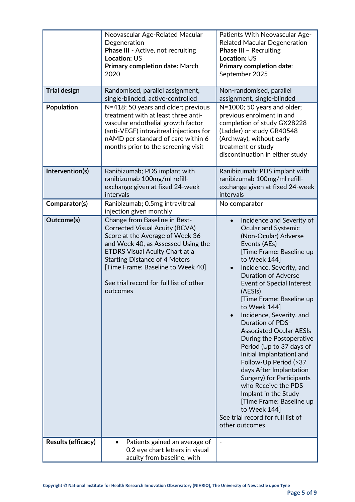| <b>Trial design</b><br><b>Population</b> | Neovascular Age-Related Macular<br>Degeneration<br>Phase III - Active, not recruiting<br><b>Location: US</b><br>Primary completion date: March<br>2020<br>Randomised, parallel assignment,<br>single-blinded, active-controlled<br>N=418; 50 years and older; previous<br>treatment with at least three anti-<br>vascular endothelial growth factor<br>(anti-VEGF) intravitreal injections for<br>nAMD per standard of care within 6<br>months prior to the screening visit | Patients With Neovascular Age-<br><b>Related Macular Degeneration</b><br><b>Phase III - Recruiting</b><br>Location: US<br><b>Primary completion date:</b><br>September 2025<br>Non-randomised, parallel<br>assignment, single-blinded<br>N=1000; 50 years and older;<br>previous enrolment in and<br>completion of study GX28228<br>(Ladder) or study GR40548<br>(Archway), without early<br>treatment or study<br>discontinuation in either study                                                                                                                                                                                                                                                                     |
|------------------------------------------|-----------------------------------------------------------------------------------------------------------------------------------------------------------------------------------------------------------------------------------------------------------------------------------------------------------------------------------------------------------------------------------------------------------------------------------------------------------------------------|------------------------------------------------------------------------------------------------------------------------------------------------------------------------------------------------------------------------------------------------------------------------------------------------------------------------------------------------------------------------------------------------------------------------------------------------------------------------------------------------------------------------------------------------------------------------------------------------------------------------------------------------------------------------------------------------------------------------|
| Intervention(s)                          | Ranibizumab; PDS implant with<br>ranibizumab 100mg/ml refill-<br>exchange given at fixed 24-week<br>intervals                                                                                                                                                                                                                                                                                                                                                               | Ranibizumab; PDS implant with<br>ranibizumab 100mg/ml refill-<br>exchange given at fixed 24-week<br>intervals                                                                                                                                                                                                                                                                                                                                                                                                                                                                                                                                                                                                          |
| Comparator(s)                            | Ranibizumab; 0.5mg intravitreal<br>injection given monthly                                                                                                                                                                                                                                                                                                                                                                                                                  | No comparator                                                                                                                                                                                                                                                                                                                                                                                                                                                                                                                                                                                                                                                                                                          |
| Outcome(s)                               | Change from Baseline in Best-<br><b>Corrected Visual Acuity (BCVA)</b><br>Score at the Average of Week 36<br>and Week 40, as Assessed Using the<br><b>ETDRS Visual Acuity Chart at a</b><br><b>Starting Distance of 4 Meters</b><br>[Time Frame: Baseline to Week 40]<br>See trial record for full list of other<br>outcomes                                                                                                                                                | Incidence and Severity of<br>$\bullet$<br>Ocular and Systemic<br>(Non-Ocular) Adverse<br>Events (AEs)<br>[Time Frame: Baseline up<br>to Week 144]<br>Incidence, Severity, and<br><b>Duration of Adverse</b><br><b>Event of Special Interest</b><br>(AESIs)<br>Time Frame: Baseline up<br>to Week 144]<br>Incidence, Severity, and<br><b>Duration of PDS-</b><br><b>Associated Ocular AESIs</b><br>During the Postoperative<br>Period (Up to 37 days of<br>Initial Implantation) and<br>Follow-Up Period (>37<br>days After Implantation<br>Surgery) for Participants<br>who Receive the PDS<br>Implant in the Study<br>[Time Frame: Baseline up<br>to Week 144]<br>See trial record for full list of<br>other outcomes |
| Results (efficacy)                       | Patients gained an average of<br>$\bullet$<br>0.2 eye chart letters in visual                                                                                                                                                                                                                                                                                                                                                                                               | $\overline{\phantom{a}}$                                                                                                                                                                                                                                                                                                                                                                                                                                                                                                                                                                                                                                                                                               |
|                                          | acuity from baseline, with                                                                                                                                                                                                                                                                                                                                                                                                                                                  |                                                                                                                                                                                                                                                                                                                                                                                                                                                                                                                                                                                                                                                                                                                        |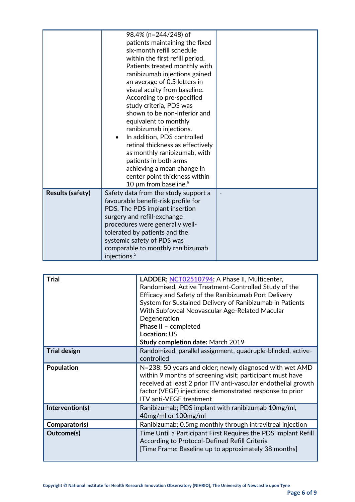|                         | 98.4% (n=244/248) of<br>patients maintaining the fixed<br>six-month refill schedule<br>within the first refill period.<br>Patients treated monthly with<br>ranibizumab injections gained<br>an average of 0.5 letters in<br>visual acuity from baseline.<br>According to pre-specified<br>study criteria, PDS was<br>shown to be non-inferior and<br>equivalent to monthly<br>ranibizumab injections.<br>In addition, PDS controlled<br>retinal thickness as effectively<br>as monthly ranibizumab, with<br>patients in both arms<br>achieving a mean change in<br>center point thickness within<br>10 $\mu$ m from baseline. <sup>5</sup> |  |
|-------------------------|--------------------------------------------------------------------------------------------------------------------------------------------------------------------------------------------------------------------------------------------------------------------------------------------------------------------------------------------------------------------------------------------------------------------------------------------------------------------------------------------------------------------------------------------------------------------------------------------------------------------------------------------|--|
| <b>Results (safety)</b> | Safety data from the study support a<br>favourable benefit-risk profile for<br>PDS. The PDS implant insertion<br>surgery and refill-exchange<br>procedures were generally well-<br>tolerated by patients and the<br>systemic safety of PDS was<br>comparable to monthly ranibizumab<br>injections. <sup>5</sup>                                                                                                                                                                                                                                                                                                                            |  |

| <b>Trial</b>        | LADDER; NCT02510794; A Phase II, Multicenter,<br>Randomised, Active Treatment-Controlled Study of the<br>Efficacy and Safety of the Ranibizumab Port Delivery<br>System for Sustained Delivery of Ranibizumab in Patients<br>With Subfoveal Neovascular Age-Related Macular<br>Degeneration<br>Phase II - completed<br><b>Location: US</b><br><b>Study completion date: March 2019</b> |
|---------------------|----------------------------------------------------------------------------------------------------------------------------------------------------------------------------------------------------------------------------------------------------------------------------------------------------------------------------------------------------------------------------------------|
| <b>Trial design</b> | Randomized, parallel assignment, quadruple-blinded, active-<br>controlled                                                                                                                                                                                                                                                                                                              |
| <b>Population</b>   | N=238; 50 years and older; newly diagnosed with wet AMD<br>within 9 months of screening visit; participant must have<br>received at least 2 prior ITV anti-vascular endothelial growth<br>factor (VEGF) injections; demonstrated response to prior<br><b>ITV anti-VEGF treatment</b>                                                                                                   |
| Intervention(s)     | Ranibizumab; PDS implant with ranibizumab 10mg/ml,<br>40mg/ml or 100mg/ml                                                                                                                                                                                                                                                                                                              |
| Comparator(s)       | Ranibizumab; 0.5mg monthly through intravitreal injection                                                                                                                                                                                                                                                                                                                              |
| Outcome(s)          | Time Until a Participant First Requires the PDS Implant Refill<br>According to Protocol-Defined Refill Criteria<br>[Time Frame: Baseline up to approximately 38 months]                                                                                                                                                                                                                |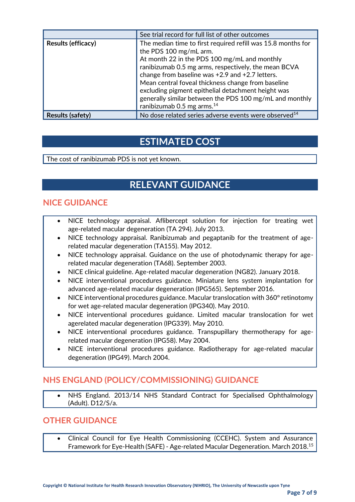|                         | See trial record for full list of other outcomes                  |
|-------------------------|-------------------------------------------------------------------|
| Results (efficacy)      | The median time to first required refill was 15.8 months for      |
|                         | the PDS 100 mg/mL arm.                                            |
|                         | At month 22 in the PDS 100 mg/mL and monthly                      |
|                         | ranibizumab 0.5 mg arms, respectively, the mean BCVA              |
|                         | change from baseline was +2.9 and +2.7 letters.                   |
|                         | Mean central foveal thickness change from baseline                |
|                         | excluding pigment epithelial detachment height was                |
|                         | generally similar between the PDS 100 mg/mL and monthly           |
|                         | ranibizumab 0.5 mg arms. <sup>14</sup>                            |
| <b>Results (safety)</b> | No dose related series adverse events were observed <sup>14</sup> |

### **ESTIMATED COST**

The cost of ranibizumab PDS is not yet known.

### **RELEVANT GUIDANCE**

#### **NICE GUIDANCE**

- NICE technology appraisal. Aflibercept solution for injection for treating wet age-related macular degeneration (TA 294). July 2013.
- NICE technology appraisal. Ranibizumab and pegaptanib for the treatment of agerelated macular degeneration (TA155). May 2012.
- NICE technology appraisal. Guidance on the use of photodynamic therapy for agerelated macular degeneration (TA68). September 2003.
- NICE clinical guideline. Age-related macular degeneration (NG82). January 2018.
- NICE interventional procedures guidance. Miniature lens system implantation for advanced age-related macular degeneration (IPG565). September 2016.
- NICE interventional procedures guidance. Macular translocation with 360° retinotomy for wet age-related macular degeneration (IPG340). May 2010.
- NICE interventional procedures guidance. Limited macular translocation for wet agerelated macular degeneration (IPG339). May 2010.
- NICE interventional procedures guidance. Transpupillary thermotherapy for agerelated macular degeneration (IPG58). May 2004.
- NICE interventional procedures guidance. Radiotherapy for age-related macular degeneration (IPG49). March 2004.

### **NHS ENGLAND (POLICY/COMMISSIONING) GUIDANCE**

• NHS England. 2013/14 NHS Standard Contract for Specialised Ophthalmology (Adult). D12/S/a.

#### **OTHER GUIDANCE**

• Clinical Council for Eye Health Commissioning (CCEHC). System and Assurance Framework for Eye-Health (SAFE) - Age-related Macular Degeneration. March 2018.<sup>15</sup>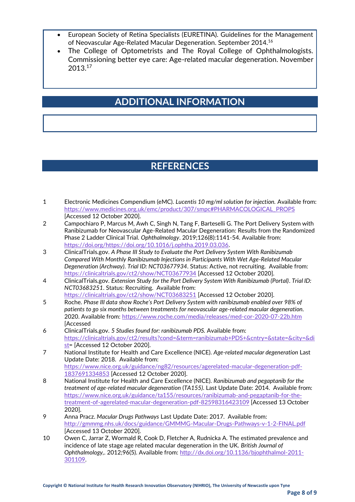- European Society of Retina Specialists (EURETINA). Guidelines for the Management of Neovascular Age-Related Macular Degeneration. September 2014.<sup>16</sup>
- The College of Optometrists and The Royal College of Ophthalmologists. Commissioning better eye care: Age-related macular degeneration. November 2013.<sup>17</sup>

### **ADDITIONAL INFORMATION**

### **REFERENCES**

- 1 Electronic Medicines Compendium (eMC). *Lucentis 10 mg/ml solution for injection.* Available from: [https://www.medicines.org.uk/emc/product/307/smpc#PHARMACOLOGICAL\\_PROPS](https://www.medicines.org.uk/emc/product/307/smpc#PHARMACOLOGICAL_PROPS) [Accessed 12 October 2020].
- 2 Campochiaro P, Marcus M, Awh C, Singh N, Tang F, Barteselli G. The Port Delivery System with Ranibizumab for Neovascular Age-Related Macular Degeneration: Results from the Randomized Phase 2 Ladder Clinical Trial. *Ophthalmology*. 2019;126(8):1141-54. Available from: [https://doi.org/https://doi.org/10.1016/j.ophtha.2019.03.036.](https://doi.org/https:/doi.org/10.1016/j.ophtha.2019.03.036)
- 3 ClinicalTrials.gov. *A Phase III Study to Evaluate the Port Delivery System With Ranibizumab Compared With Monthly Ranibizumab Injections in Participants With Wet Age-Related Macular Degeneration (Archway)*. *Trial ID: NCT03677934*. Status: Active, not recruiting. Available from: <https://clinicaltrials.gov/ct2/show/NCT03677934> [Accessed 12 October 2020].
- 4 ClinicalTrials.gov. *Extension Study for the Port Delivery System With Ranibizumab (Portal)*. *Trial ID: NCT03683251*. Status: Recruiting. Available from: <https://clinicaltrials.gov/ct2/show/NCT03683251> [Accessed 12 October 2020].
- 5 Roche. *Phase III data show Roche's Port Delivery System with ranibizumab enabled over 98% of patients to go six months between treatments for neovascular age-related macular degeneration.* 2020. Available from[: https://www.roche.com/media/releases/med-cor-2020-07-22b.htm](https://www.roche.com/media/releases/med-cor-2020-07-22b.htm) [Accessed
- 6 ClinicalTrials.gov. *5 Studies found for: ranibizumab PDS.* Available from: [https://clinicaltrials.gov/ct2/results?cond=&term=ranibizumab+PDS+&cntry=&state=&city=&di](https://clinicaltrials.gov/ct2/results?cond=&term=ranibizumab+PDS+&cntry=&state=&city=&dist) [st=](https://clinicaltrials.gov/ct2/results?cond=&term=ranibizumab+PDS+&cntry=&state=&city=&dist) [Accessed 12 October 2020].
- 7 National Institute for Health and Care Excellence (NICE). *Age-related macular degeneration* Last Update Date: 2018. Available from: [https://www.nice.org.uk/guidance/ng82/resources/agerelated-macular-degeneration-pdf-](https://www.nice.org.uk/guidance/ng82/resources/agerelated-macular-degeneration-pdf-1837691334853)[1837691334853](https://www.nice.org.uk/guidance/ng82/resources/agerelated-macular-degeneration-pdf-1837691334853) [Accessed 12 October 2020].
- 8 National Institute for Health and Care Excellence (NICE). *Ranibizumab and pegaptanib for the treatment of age-related macular degeneration* (*TA155)*. Last Update Date: 2014. Available from: [https://www.nice.org.uk/guidance/ta155/resources/ranibizumab-and-pegaptanib-for-the](https://www.nice.org.uk/guidance/ta155/resources/ranibizumab-and-pegaptanib-for-the-treatment-of-agerelated-macular-degeneration-pdf-82598316423109)[treatment-of-agerelated-macular-degeneration-pdf-82598316423109](https://www.nice.org.uk/guidance/ta155/resources/ranibizumab-and-pegaptanib-for-the-treatment-of-agerelated-macular-degeneration-pdf-82598316423109) [Accessed 13 October 2020].
- 9 Anna Pracz. *Macular Drugs Pathways* Last Update Date: 2017. Available from: <http://gmmmg.nhs.uk/docs/guidance/GMMMG-Macular-Drugs-Pathways-v-1-2-FINAL.pdf> [Accessed 13 October 2020].
- 10 Owen C, Jarrar Z, Wormald R, Cook D, Fletcher A, Rudnicka A. The estimated prevalence and incidence of late stage age related macular degeneration in the UK. *British Journal of Ophthalmology,*. 2012;96(5). Available from[: http://dx.doi.org/10.1136/bjophthalmol-2011-](http://dx.doi.org/10.1136/bjophthalmol-2011-301109) [301109.](http://dx.doi.org/10.1136/bjophthalmol-2011-301109)